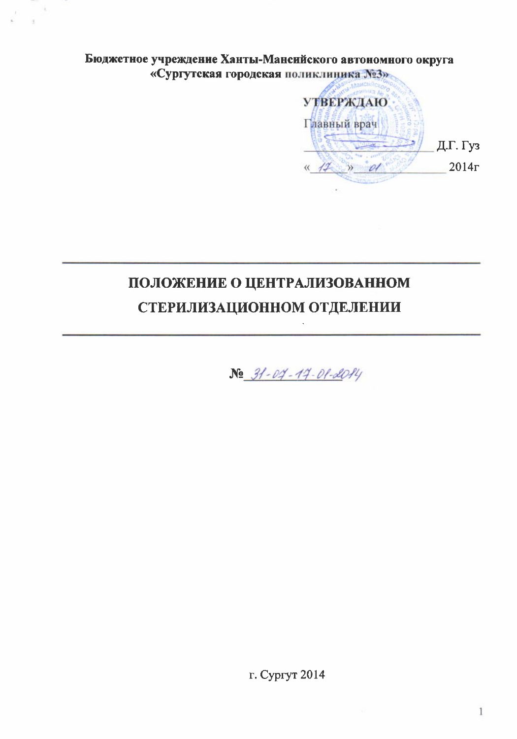### Бюджетное учреждение Ханты-Мансийского автономного округа «Сургутская городская поликлиника N23»

**УТВЕРЖДАЮ** Главный врач Д.Г. Гуз  $2014r$  $\leftarrow$  17  $\rightarrow$  01

# ПОЛОЖЕНИЕ О ЦЕНТРАЛИЗОВАННОМ СТЕРИЛИЗАЦИОННОМ ОТДЕЛЕНИИ

No 31-04-14-01-2014

г. Сургут 2014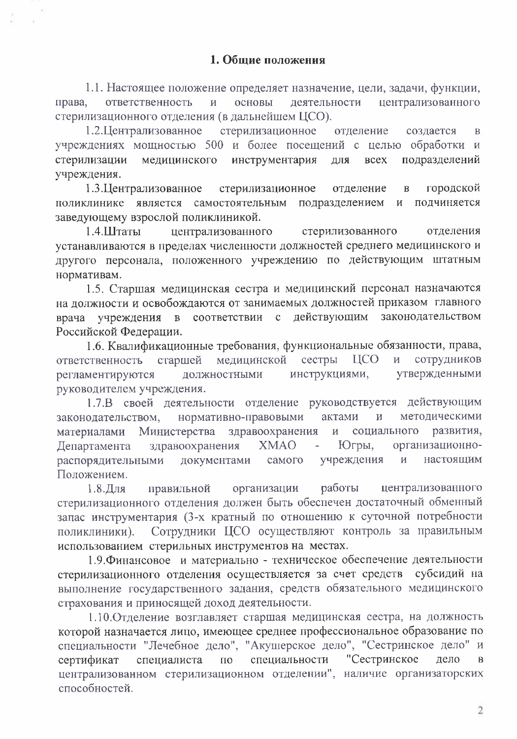1.1. Настоящее положение определяет назначение, цели, задачи, функции, ответственность основы деятельности централизованного права,  $\overline{M}$ стерилизационного отделения (в дальнейшем ЦСО).

1.2. Централизованное стерилизационное отделение созлается  $\overline{B}$ учреждениях мощностью 500 и более посещений с целью обработки и стерилизации инструментария подразделений медицинского для **BCCX** учреждения.

1.3. Централизованное городской стерилизационное отделение  $\overline{B}$ подразделением поликлинике является самостоятельным  $\overline{M}$ подчиняется заведующему взрослой поликлиникой.

1.4.Штаты централизованного стерилизованного отделения устанавливаются в пределах численности должностей среднего медицинского и другого персонала, положенного учреждению по действующим штатным нормативам.

1.5. Старшая медицинская сестра и медицинский персонал назначаются на должности и освобождаются от занимаемых должностей приказом главного действующим законодательством соответствии  $\mathbf{c}$ врача учреждения  $\overline{B}$ Российской Федерации.

1.6. Квалификационные требования, функциональные обязанности, права, старшей медицинской сестры **IICO** сотрудников  $\mathbf{M}$ ответственность утвержденными должностными инструкциями, регламентируются руководителем учреждения.

1.7.В своей деятельности отделение руководствуется действующим нормативно-правовыми методическими законодательством, актами  $\overline{M}$ здравоохранения материалами Министерства  $\overline{\mathbf{M}}$ социального развития, Департамента здравоохранения **XMAO** Югры, организационнораспорядительными учреждения документами самого настоящим И Положением.

организации работы централизованного  $1.8.$ Для правильной стерилизационного отделения должен быть обеспечен достаточный обменный запас инструментария (3-х кратный по отношению к суточной потребности Сотрудники ЦСО осуществляют контроль за правильным поликлиники). использованием стерильных инструментов на местах.

1.9. Финансовое и материально - техническое обеспечение деятельности стерилизационного отделения осуществляется за счет средств субсидий на выполнение государственного задания, средств обязательного медицинского страхования и приносящей доход деятельности.

1.10. Отделение возглавляет старшая медицинская сестра, на должность которой назначается лицо, имеющее среднее профессиональное образование по специальности "Лечебное дело", "Акушерское дело", "Сестринское дело" и "Сестринское специальности сертификат специалиста по дело  $\bf{B}$ централизованном стерилизационном отделении", наличие организаторских способностей.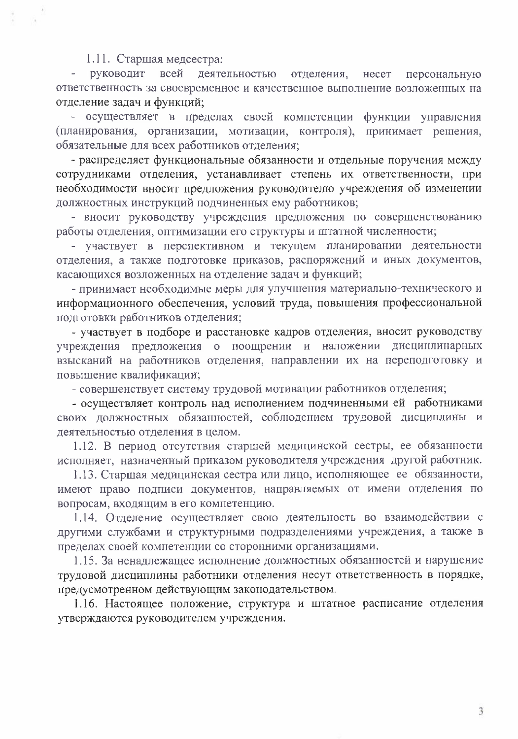#### 1.11. Старшая медсестра:

руководит всей деятельностью отделения, несет персональную  $\overline{a}$ ответственность за своевременное и качественное выполнение возложенных на отделение задач и функций;

- осуществляет в пределах своей компетенции функции управления (планирования, организации, мотивации, контроля), принимает рещения, обязательные для всех работников отделения;

- распределяет функциональные обязанности и отдельные поручения между сотрудниками отделения, устанавливает степень их ответственности, при необходимости вносит предложения руководителю учреждения об изменении должностных инструкций подчиненных ему работников;

- вносит руководству учреждения предложения по совершенствованию работы отделения, оптимизации его структуры и штатной численности;

- участвует в перспективном и текущем планировании деятельности отделения, а также подготовке приказов, распоряжений и иных документов, касающихся возложенных на отделение задач и функций;

- принимает необходимые меры для улучшения материально-технического и информационного обеспечения, условий труда, повышения профессиональной полготовки работников отделения:

- участвует в подборе и расстановке кадров отделения, вносит руководству учреждения предложения о поощрении и наложении дисциплинарных взысканий на работников отделения, направлении их на переподготовку и повышение квалификации;

- совершенствует систему трудовой мотивации работников отделения;

- осуществляет контроль над исполнением подчиненными ей работниками своих должностных обязанностей, соблюдением трудовой дисциплины и деятельностью отделения в целом.

1.12. В период отсутствия старшей медицинской сестры, ее обязанности исполняет, назначенный приказом руководителя учреждения другой работник.

1.13. Старшая медицинская сестра или лицо, исполняющее ее обязанности, имеют право подписи документов, направляемых от имени отделения по вопросам, входящим в его компетенцию.

1.14. Отделение осуществляет свою деятельность во взаимодействии с другими службами и структурными подразделениями учреждения, а также в пределах своей компетенции со сторонними организациями.

1.15. За ненадлежащее исполнение должностных обязанностей и нарушение трудовой дисциплины работники отделения несут ответственность в порядке, предусмотренном действующим законодательством.

1.16. Настоящее положение, структура и штатное расписание отделения утверждаются руководителем учреждения.

3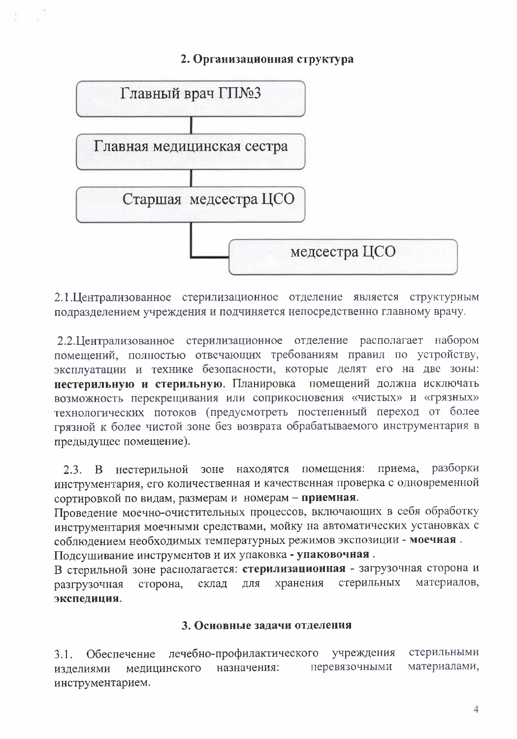#### 2. Организационная структура



2.1. Централизованное стерилизационное отделение является структурным подразделением учреждения и подчиняется непосредственно главному врачу.

2.2. Централизованное стерилизационное отделение располагает набором помещений, полностью отвечающих требованиям правил по устройству, эксплуатации и технике безопасности, которые делят его на две зоны: нестерильную и стерильную. Планировка помещений должна исключать возможность перекрещивания или соприкосновения «чистых» и «грязных» технологических потоков (предусмотреть постепенный переход от более грязной к более чистой зоне без возврата обрабатываемого инструментария в предыдущее помещение).

зоне находятся помещения: разборки приема, нестерильной  $2.3. \quad B$ инструментария, его количественная и качественная проверка с одновременной сортировкой по видам, размерам и номерам - приемная.

Проведение моечно-очистительных процессов, включающих в себя обработку инструментария моечными средствами, мойку на автоматических установках с соблюдением необходимых температурных режимов экспозиции - моечная.

Подсушивание инструментов и их упаковка - упаковочная.

В стерильной зоне располагается: стерилизационная - загрузочная сторона и склад хранения стерильных материалов, ДЛЯ разгрузочная сторона, экспедиция.

#### 3. Основные задачи отделения

стерильными лечебно-профилактического учреждения  $3.1.$ Обеспечение материалами, перевязочными медицинского назначения: изделиями инструментарием.

 $\overline{4}$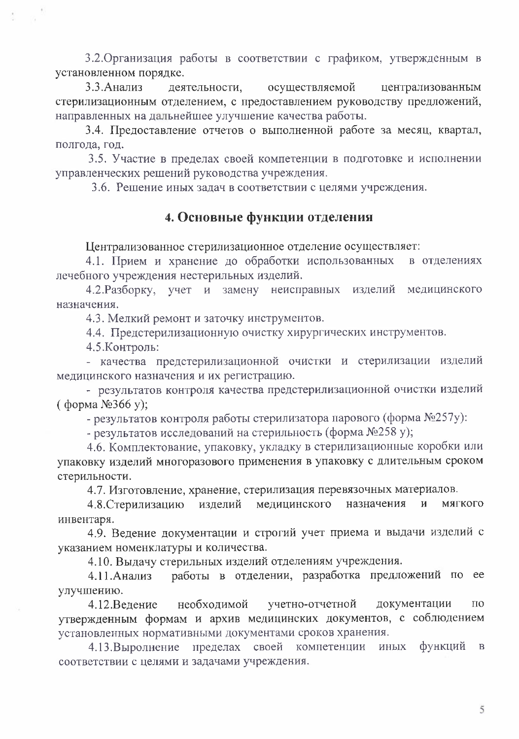3.2. Организация работы в соответствии с графиком, утвержденным в установленном порядке.

3.3. Анализ деятельности. осуществляемой централизованным стерилизационным отделением, с предоставлением руководству предложений, направленных на дальнейшее улучшение качества работы.

3.4. Предоставление отчетов о выполненной работе за месяц, квартал, полгода, год.

3.5. Участие в пределах своей компетенции в подготовке и исполнении управленческих решений руководства учреждения.

3.6. Решение иных залач в соответствии с целями учреждения.

## 4. Основные функции отделения

Централизованное стерилизационное отделение осуществляет:

4.1. Прием и хранение до обработки использованных в отделениях лечебного учреждения нестерильных изделий.

4.2. Разборку, учет и замену неисправных изделий медицинского назначения.

4.3. Мелкий ремонт и заточку инструментов.

4.4. Предстерилизационную очистку хирургических инструментов.

4.5. Контроль:

- качества предстерилизационной очистки и стерилизации изделий медицинского назначения и их регистрацию.

- результатов контроля качества предстерилизационной очистки изделий  $($  форма  $N<sup>6</sup>366$  v):

- результатов контроля работы стерилизатора парового (форма №257у):

- результатов исследований на стерильность (форма №258 у);

4.6. Комплектование, упаковку, укладку в стерилизационные коробки или упаковку изделий многоразового применения в упаковку с длительным сроком стерильности.

4.7. Изготовление, хранение, стерилизация перевязочных материалов.

назначения медицинского **МЯГКОГО** 4.8. Стерилизацию изделий  $\mathbf{u}$ инвентаря.

4.9. Ведение документации и строгий учет приема и выдачи изделий с указанием номенклатуры и количества.

4.10. Выдачу стерильных изделий отделениям учреждения.

работы в отделении, разработка предложений по ее 4.11. Анализ улучшению.

необходимой учетно-отчетной документации 4.12.Ведение по утвержденным формам и архив медицинских документов, с соблюдением установленных нормативными документами сроков хранения.

4.13. Выролнение пределах своей компетенции иных функций  $\mathbf{B}$ соответствии с целями и задачами учреждения.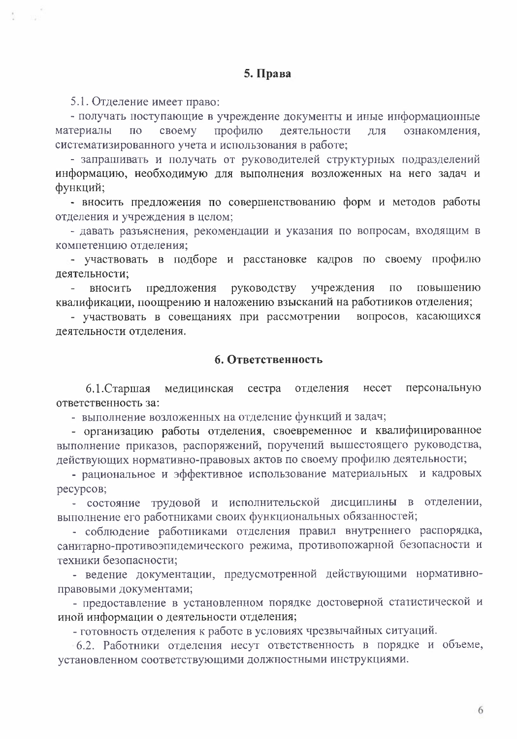#### 5. Права

5.1. Отделение имеет право:

- получать поступающие в учреждение документы и иные информационные материалы  $\Pi$ O своему профилю деятельности ДЛЯ ознакомления, систематизированного учета и использования в работе;

- запрашивать и получать от руководителей структурных подразделений информацию, необходимую для выполнения возложенных на него задач и функций:

- вносить предложения по совершенствованию форм и методов работы отделения и учреждения в целом;

- давать разъяснения, рекомендации и указания по вопросам, входящим в компетенцию отделения;

- участвовать в подборе и расстановке кадров по своему профилю деятельности;

предложения руководству учреждения по повышению вносить  $\sim$  10  $\pm$ квалификации, поощрению и наложению взысканий на работников отделения;

- участвовать в совещаниях при рассмотрении вопросов, касающихся деятельности отделения.

#### 6. Ответственность

персональную  $6.1$ . Старшая медицинская сестра отделения несет ответственность за:

- выполнение возложенных на отделение функций и задач;

- организацию работы отделения, своевременное и квалифицированное выполнение приказов, распоряжений, поручений вышестоящего руководства, действующих нормативно-правовых актов по своему профилю деятельности;

- рациональное и эффективное использование материальных и кадровых ресурсов;

- состояние трудовой и исполнительской дисциплины в отделении, выполнение его работниками своих функциональных обязанностей;

- соблюдение работниками отделения правил внутреннего распорядка, санитарно-противоэпидемического режима, противопожарной безопасности и техники безопасности;

- ведение документации, предусмотренной действующими нормативноправовыми документами;

- предоставление в установленном порядке достоверной статистической и иной информации о деятельности отделения;

- готовность отделения к работе в условиях чрезвычайных ситуаций.

6.2. Работники отделения несут ответственность в порядке и объеме, установленном соответствующими должностными инструкциями.

6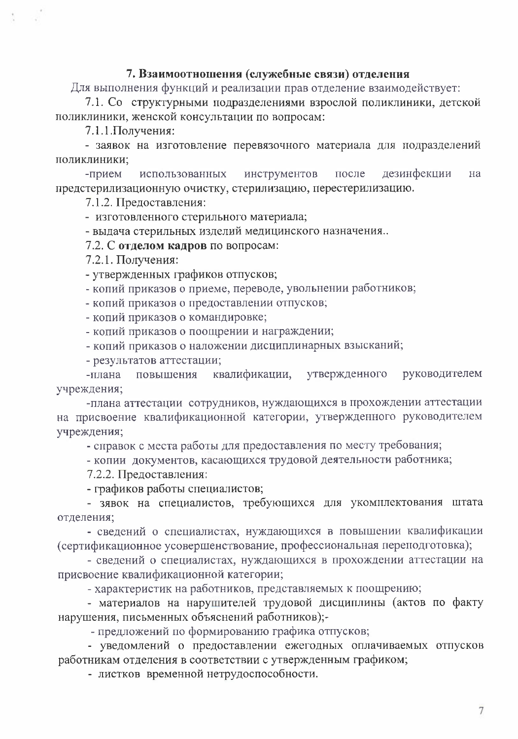#### 7. Взаимоотношения (служебные связи) отделения

Для выполнения функций и реализации прав отделение взаимодействует:

7.1. Со структурными подразделениями взрослой поликлиники, детской поликлиники, женской консультации по вопросам:

7.1.1. Получения:

- заявок на изготовление перевязочного материала для подразделений поликлиники;

инструментов дезинфекции -прием использованных после на предстерилизационную очистку, стерилизацию, перестерилизацию.

7.1.2. Предоставления:

- изготовленного стерильного материала;

- выдача стерильных изделий медицинского назначения...

7.2. С отделом кадров по вопросам:

7.2.1. Получения:

- утвержденных графиков отпусков;

- копий приказов о приеме, переводе, увольнении работников;

- копий приказов о предоставлении отпусков;

- копий приказов о командировке;

- копий приказов о поощрении и награждении;

- копий приказов о наложении дисциплинарных взысканий;

- результатов аттестации;

квалификации, утвержденного повышения руководителем -плана учреждения;

-плана аттестации сотрудников, нуждающихся в прохождении аттестации на присвоение квалификационной категории, утвержденного руководителем учреждения;

- справок с места работы для предоставления по месту требования;

- копии документов, касающихся трудовой деятельности работника;

7.2.2. Предоставления:

- графиков работы специалистов;

- зявок на специалистов, требующихся для укомплектования штата отделения;

- сведений о специалистах, нуждающихся в повышении квалификации (сертификационное усовершенствование, профессиональная переподготовка);

- сведений о специалистах, нуждающихся в прохождении аттестации на присвоение квалификационной категории;

- характеристик на работников, представляемых к поощрению;

- материалов на нарушителей трудовой дисциплины (актов по факту нарушения, письменных объяснений работников);-

- предложений по формированию графика отпусков;

- уведомлений о предоставлении ежегодных оплачиваемых отпусков работникам отделения в соответствии с утвержденным графиком;

- листков временной нетрудоспособности.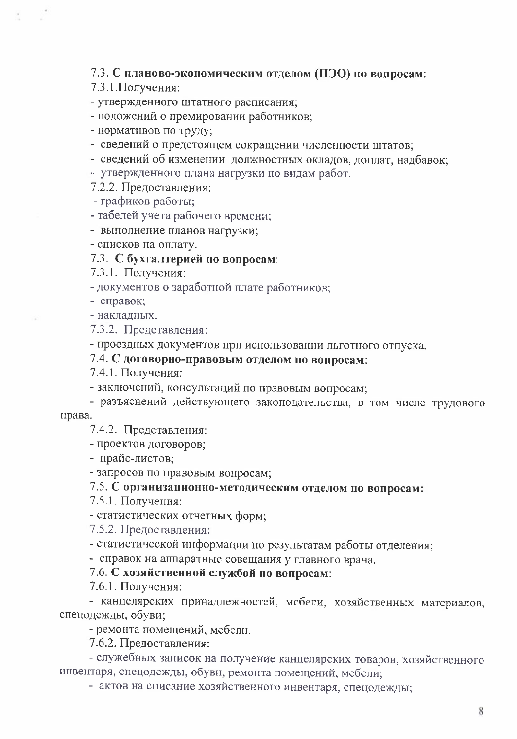7.3. С планово-экономическим отделом (ПЭО) по вопросам:

7.3.1. Получения:

- утвержденного штатного расписания;

- положений о премировании работников:

- нормативов по труду;

- сведений о предстоящем сокращении численности штатов;

- сведений об изменении должностных окладов, доплат, надбавок;

- утвержденного плана нагрузки по видам работ.

7.2.2. Предоставления:

- графиков работы;

- табелей учета рабочего времени;

- выполнение планов нагрузки;

- списков на оплату.

#### 7.3. С бухгалтерией по вопросам:

7.3.1. Получения:

- документов о заработной плате работников;

- справок;

- наклалных.

7.3.2. Представления:

- проездных документов при использовании льготного отпуска.

# 7.4. С договорно-правовым отделом по вопросам:

7.4.1. Получения:

- заключений, консультаций по правовым вопросам;

- разъяснений действующего законодательства, в том числе трудового

права.

7.4.2. Представления:

- проектов договоров;

- прайс-листов;

- запросов по правовым вопросам;

# 7.5. С организационно-методическим отделом по вопросам:

7.5.1. Получения:

- статистических отчетных форм;

7.5.2. Предоставления:

- статистической информации по результатам работы отделения;

- справок на аппаратные совещания у главного врача.

#### 7.6. С хозяйственной службой по вопросам:

7.6.1. Получения:

- канцелярских принадлежностей, мебели, хозяйственных материалов, спецодежды, обуви;

- ремонта помещений, мебели.

7.6.2. Предоставления:

- служебных записок на получение канцелярских товаров, хозяйственного инвентаря, спецодежды, обуви, ремонта помещений, мебели;

- актов на списание хозяйственного инвентаря, спецодежды;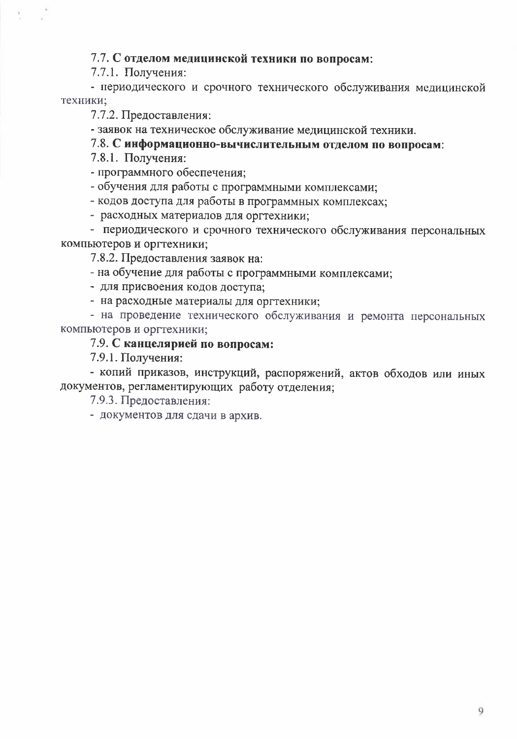#### 7.7. С отделом медицинской техники по вопросам:

7.7.1. Получения:

- периодического и срочного технического обслуживания медицинской техники;

7.7.2. Предоставления:

- заявок на техническое обслуживание медицинской техники.

7.8. С информационно-вычислительным отделом по вопросам:

7.8.1. Получения:

- программного обеспечения;

- обучения для работы с программными комплексами;

- кодов доступа для работы в программных комплексах;

- расходных материалов для оргтехники;

- периодического и срочного технического обслуживания персональных компьютеров и оргтехники;

7.8.2. Предоставления заявок на:

- на обучение для работы с программными комплексами;

- для присвоения кодов доступа;

- на расходные материалы для оргтехники;

- на проведение технического обслуживания и ремонта персональных компьютеров и оргтехники;

#### 7.9. С канцелярией по вопросам:

7.9.1. Получения:

- копий приказов, инструкций, распоряжений, актов обходов или иных документов, регламентирующих работу отделения;

7.9.3. Предоставления:

- документов для сдачи в архив.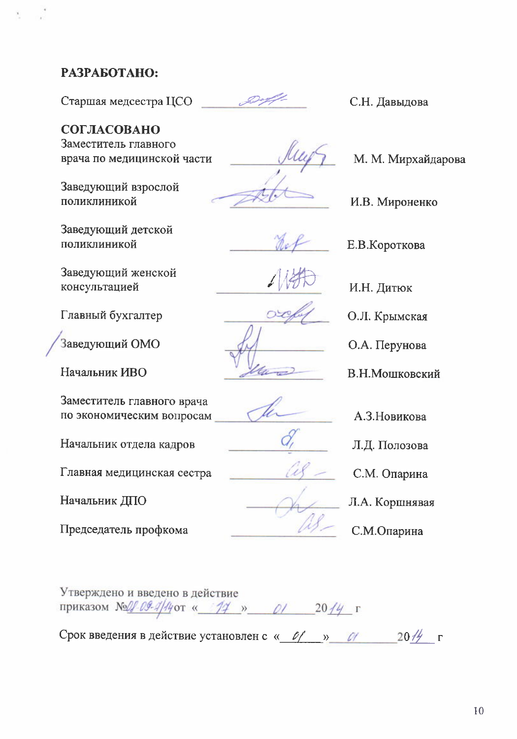### РАЗРАБОТАНО:

Старшая медсестра ЦСО

СОГЛАСОВАНО Заместитель главного врача по медицинской части

Заведующий взрослой поликлиникой

Заведующий детской поликлиникой

Заведующий женской консультацией

Главный бухгалтер

Заведующий ОМО

Начальник ИВО

Заместитель главного врача по экономическим вопросам

Начальник отдела кадров

Главная медицинская сестра

Начальник ДПО

Председатель профкома

С.Н. Давыдова

М. М. Мирхайдарова

И.В. Мироненко

Е.В.Короткова

И.Н. Дитюк

О.Л. Крымская

О.А. Перунова

В.Н.Мошковский

А.З.Новикова

Л.Д. Полозова

С.М. Опарина

Л.А. Коршнявая

С.М.Опарина

Утверждено и введено в действие приказом № 09-4/4 от « 14 » 01 2014 г

Срок введения в действие установлен с « 0/ » 0/  $20\frac{\pi}{2}$  r